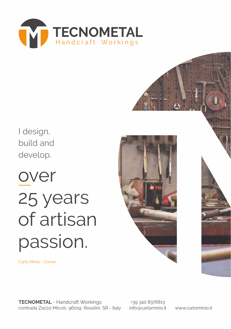

I design, build and develop.

# over 25 years of artisan passion.



Carlo Minio - Owner

**TECNOMETAL** - Handcraft Workings contrada Zacco Micciò 96019 Rosolini, SR - Italy

+39 340 8376813 info@carlominio.it www.carlominio.it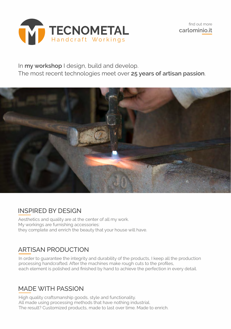

In **my workshop** I design, build and develop. The most recent technologies meet over **25 years of artisan passion**.



### INSPIRED BY DESIGN

Aesthetics and quality are at the center of all my work. My workings are furnishing accessories: they complete and enrich the beauty that your house will have.

### ARTISAN PRODUCTION

In order to guarantee the integrity and durability of the products, I keep all the production processing handcrafted. After the machines make rough cuts to the profiles, each element is polished and finished by hand to achieve the perfection in every detail.

#### MADE WITH PASSION

High quality craftsmanship goods, style and functionality. All made using processing methods that have nothing industrial. The result? Customized products, made to last over time. Made to enrich.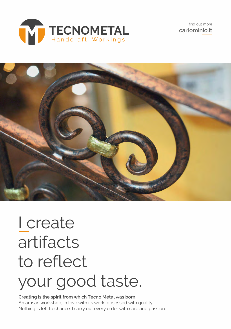



# I create artifacts to reflect your good taste.

**Creating is the spirit from which Tecno Metal was born**. An artisan workshop, in love with its work, obsessed with quality. Nothing is left to chance: I carry out every order with care and passion.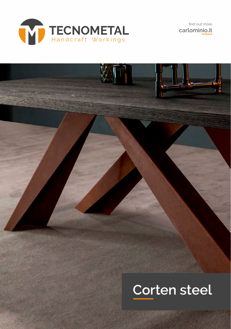

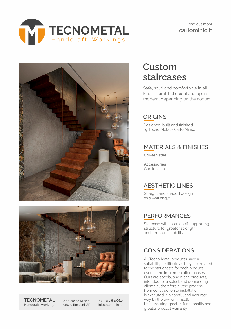





**TECNOMETAL** Handcraft Workings

c.da Zacco Micciò 96019 **Rosolini**, SR

+39 **340 8376813** info@carlominio.it

## **Custom staircases**

Safe, solid and comfortable in all kinds: spiral, helicoidal and open, modern, depending on the context.

#### **ORIGINS**

Designed, built and finished by Tecno Metal - Carlo Minio.

#### MATERIALS & FINISHES

Cor-ten steel.

**Accessories** Cor-ten steel.

#### AESTHETIC LINES

Straight and shaped design as a wall angle.

#### PERFORMANCES

Staircase with lateral self-supporting structure for greater strength and structural stability.

#### CONSIDERATIONS

All Tecno Metal products have a suitability certificate as they are related to the static tests for each product used in the implementation phases. Ours are special and niche products, intended for a select and demanding clientele, therefore all the process, from construction to installation, is executed in a careful and accurate way by the owner himself, thus ensuring greater functionality and greater product warranty.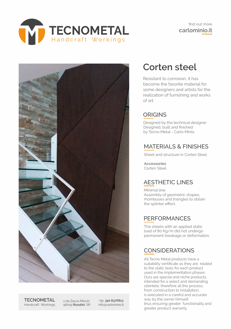



**TECNOMETAL** Handcraft Workings

c.da Zacco Micciò 96019 **Rosolini**, SR

+39 **340 8376813** info@carlominio.it

## **Corten steel**

Resistant to corrosion, it has become the favorite material for some designers and artists for the realization of furnishing and works of art.

#### **ORIGINS**

Designed by the technical designer. Designed, built and finished by Tecno Metal - Carlo Minio.

#### MATERIALS & FINISHES

Sheet and structure in Corten Steel.

**Accessories** Corten Steel.

#### AESTHETIC LINES

Minimal line. Assembly of geometric shapes, rhombuses and triangles to obtain the splinter effect.

#### **PERFORMANCFS**

The sheets with an applied static load of 80 Kg/m did not undergo permanent breakage or deformation.

#### CONSIDERATIONS

All Tecno Metal products have a suitability certificate as they are related to the static tests for each product used in the implementation phases. Ours are special and niche products, intended for a select and demanding clientele, therefore all the process, from construction to installation, is executed in a careful and accurate way by the owner himself, thus ensuring greater functionality and greater product warranty.